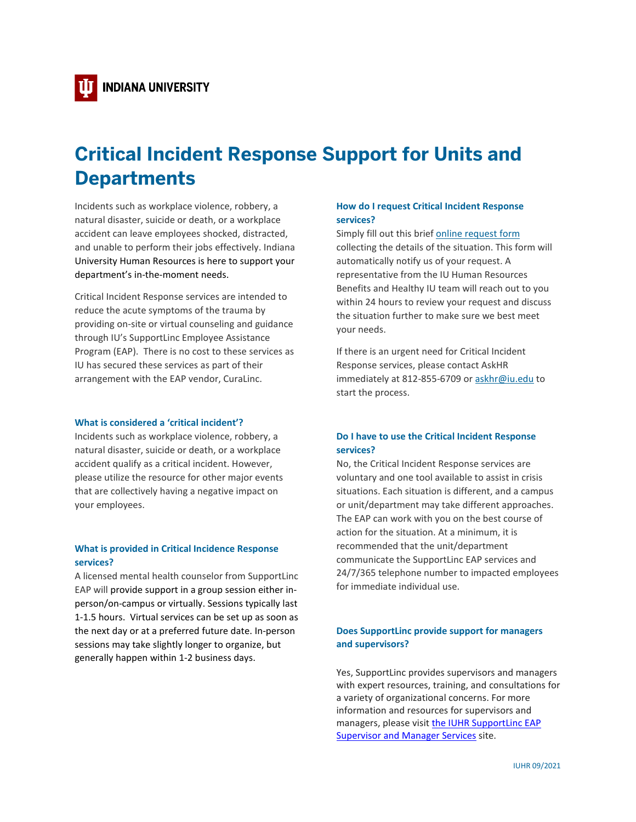# **Critical Incident Response Support for Units and Departments**

Incidents such as workplace violence, robbery, a natural disaster, suicide or death, or a workplace accident can leave employees shocked, distracted, and unable to perform their jobs effectively. Indiana University Human Resources is here to support your department's in-the-moment needs.

Critical Incident Response services are intended to reduce the acute symptoms of the trauma by providing on-site or virtual counseling and guidance through IU's SupportLinc Employee Assistance Program (EAP). There is no cost to these services as IU has secured these services as part of their arrangement with the EAP vendor, CuraLinc.

#### **What is considered a 'critical incident'?**

Incidents such as workplace violence, robbery, a natural disaster, suicide or death, or a workplace accident qualify as a critical incident. However, please utilize the resource for other major events that are collectively having a negative impact on your employees.

### **What is provided in Critical Incidence Response services?**

A licensed mental health counselor from SupportLinc EAP will provide support in a group session either inperson/on-campus or virtually. Sessions typically last 1-1.5 hours. Virtual services can be set up as soon as the next day or at a preferred future date. In-person sessions may take slightly longer to organize, but generally happen within 1-2 business days.

# **How do I request Critical Incident Response services?**

Simply fill out this brief [online request form](https://forms.office.com/Pages/ResponsePage.aspx?id=NL4TEdGuAE2rS83QJRC-kbfnWuIkQpZNhnkyCc5O6uxURUwwSDRNSktZWVkxWklEWjNLOTU0UThFWS4u) collecting the details of the situation. This form will automatically notify us of your request. A representative from the IU Human Resources Benefits and Healthy IU team will reach out to you within 24 hours to review your request and discuss the situation further to make sure we best meet your needs.

If there is an urgent need for Critical Incident Response services, please contact AskHR immediately at 812-855-6709 o[r askhr@iu.edu](mailto:askhr@iu.edu) to start the process.

# **Do I have to use the Critical Incident Response services?**

No, the Critical Incident Response services are voluntary and one tool available to assist in crisis situations. Each situation is different, and a campus or unit/department may take different approaches. The EAP can work with you on the best course of action for the situation. At a minimum, it is recommended that the unit/department communicate the SupportLinc EAP services and 24/7/365 telephone number to impacted employees for immediate individual use.

## **Does SupportLinc provide support for managers and supervisors?**

Yes, SupportLinc provides supervisors and managers with expert resources, training, and consultations for a variety of organizational concerns. For more information and resources for supervisors and managers, please visi[t the IUHR SupportLinc EAP](https://hr.iu.edu/benefits/eap-supervisors.html)  **[Supervisor and Manager Services](https://hr.iu.edu/benefits/eap-supervisors.html) site.**